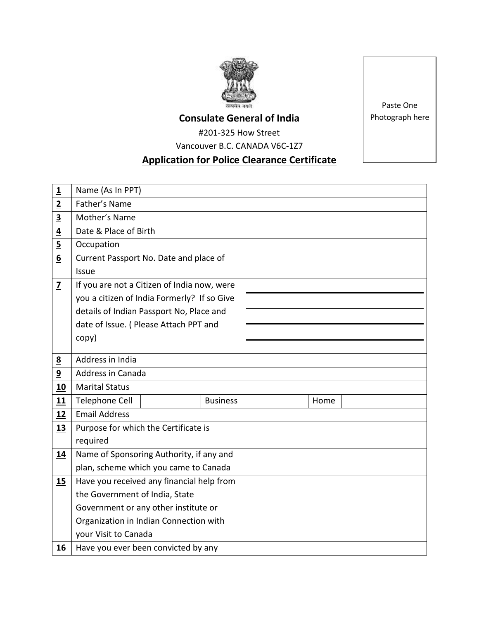

## **Consulate General of India**

#201-325 How Street

Vancouver B.C. CANADA V6C-1Z7

# **Application for Police Clearance Certificate**

**1** Name (As In PPT) **2** Father's Name **3** Mother's Name **4** Date & Place of Birth **5** Occupation **6** Current Passport No. Date and place of Issue  $\overline{2}$  If you are not a Citizen of India now, were you a citizen of India Formerly? If so Give details of Indian Passport No, Place and date of Issue. ( Please Attach PPT and copy) **8** Address in India **9** Address in Canada 10 | Marital Status **11** Telephone Cell **Business Home** 12 | Email Address **13** Purpose for which the Certificate is required **14** Name of Sponsoring Authority, if any and plan, scheme which you came to Canada **15** Have you received any financial help from the Government of India, State Government or any other institute or Organization in Indian Connection with your Visit to Canada **16** Have you ever been convicted by any

Paste One Photograph here